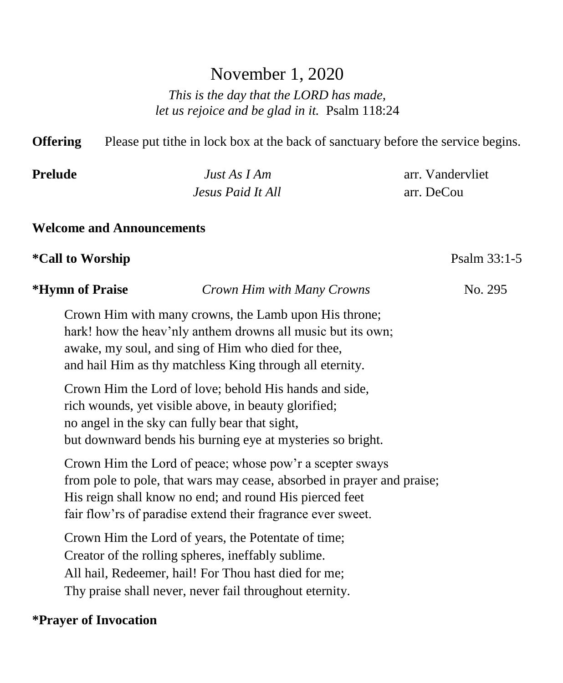# November 1, 2020

*This is the day that the LORD has made, let us rejoice and be glad in it.* Psalm 118:24

**Offering** Please put tithe in lock box at the back of sanctuary before the service begins. **Prelude** *Just As I Am* arr. Vandervliet *Jesus Paid It All* arr. DeCou **Welcome and Announcements \*Call to Worship** Psalm 33:1-5 **\*Hymn of Praise** *Crown Him with Many Crowns* No. 295 Crown Him with many crowns, the Lamb upon His throne; hark! how the heav'nly anthem drowns all music but its own; awake, my soul, and sing of Him who died for thee, and hail Him as thy matchless King through all eternity. Crown Him the Lord of love; behold His hands and side, rich wounds, yet visible above, in beauty glorified; no angel in the sky can fully bear that sight, but downward bends his burning eye at mysteries so bright. Crown Him the Lord of peace; whose pow'r a scepter sways from pole to pole, that wars may cease, absorbed in prayer and praise; His reign shall know no end; and round His pierced feet fair flow'rs of paradise extend their fragrance ever sweet. Crown Him the Lord of years, the Potentate of time; Creator of the rolling spheres, ineffably sublime. All hail, Redeemer, hail! For Thou hast died for me; Thy praise shall never, never fail throughout eternity.

# **\*Prayer of Invocation**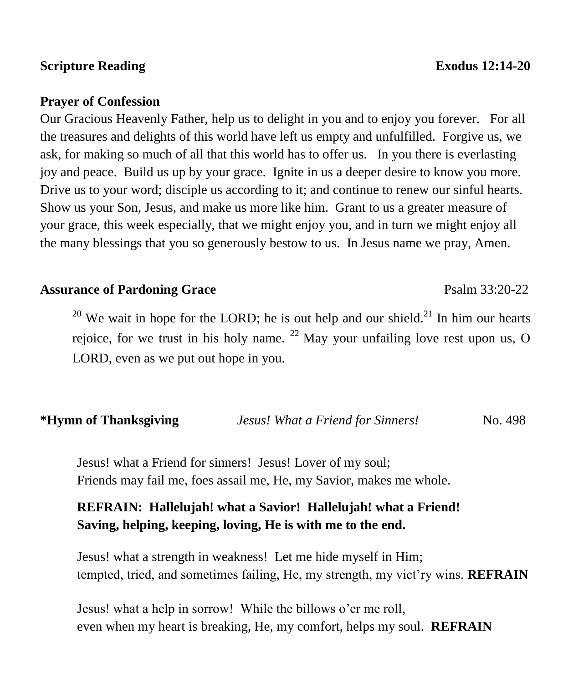#### **Scripture Reading Exodus** 12:14-20

#### **Prayer of Confession**

Our Gracious Heavenly Father, help us to delight in you and to enjoy you forever. For all the treasures and delights of this world have left us empty and unfulfilled. Forgive us, we ask, for making so much of all that this world has to offer us. In you there is everlasting joy and peace. Build us up by your grace. Ignite in us a deeper desire to know you more. Drive us to your word; disciple us according to it; and continue to renew our sinful hearts. Show us your Son, Jesus, and make us more like him. Grant to us a greater measure of your grace, this week especially, that we might enjoy you, and in turn we might enjoy all the many blessings that you so generously bestow to us. In Jesus name we pray, Amen.

#### Assurance of Pardoning Grace **Particle 1200-22** Psalm 33:20-22

<sup>20</sup> We wait in hope for the LORD; he is out help and our shield.<sup>21</sup> In him our hearts rejoice, for we trust in his holy name.  $^{22}$  May your unfailing love rest upon us, O LORD, even as we put out hope in you.

#### **\*Hymn of Thanksgiving** *Jesus! What a Friend for Sinners!* No. 498

 Jesus! what a Friend for sinners! Jesus! Lover of my soul; Friends may fail me, foes assail me, He, my Savior, makes me whole.

# **REFRAIN: Hallelujah! what a Savior! Hallelujah! what a Friend! Saving, helping, keeping, loving, He is with me to the end.**

 Jesus! what a strength in weakness! Let me hide myself in Him; tempted, tried, and sometimes failing, He, my strength, my vict'ry wins. **REFRAIN**

 Jesus! what a help in sorrow! While the billows o'er me roll, even when my heart is breaking, He, my comfort, helps my soul. **REFRAIN**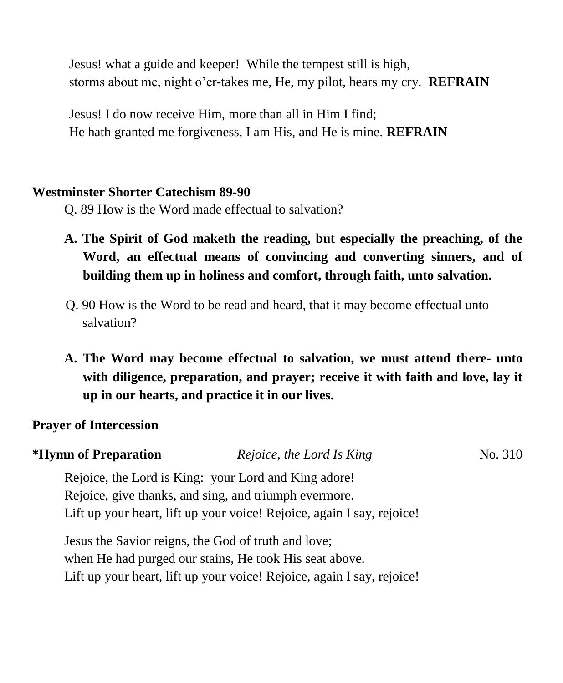Jesus! what a guide and keeper! While the tempest still is high, storms about me, night o'er-takes me, He, my pilot, hears my cry. **REFRAIN**

 Jesus! I do now receive Him, more than all in Him I find; He hath granted me forgiveness, I am His, and He is mine. **REFRAIN**

#### **Westminster Shorter Catechism 89-90**

Q. 89 How is the Word made effectual to salvation?

- **A. The Spirit of God maketh the reading, but especially the preaching, of the Word, an effectual means of convincing and converting sinners, and of building them up in holiness and comfort, through faith, unto salvation.**
- Q. 90 How is the Word to be read and heard, that it may become effectual unto salvation?
- **A. The Word may become effectual to salvation, we must attend there- unto with diligence, preparation, and prayer; receive it with faith and love, lay it up in our hearts, and practice it in our lives.**

# **Prayer of Intercession**

| *Hymn of Preparation                                | Rejoice, the Lord Is King                                              | No. 310 |  |
|-----------------------------------------------------|------------------------------------------------------------------------|---------|--|
|                                                     | Rejoice, the Lord is King: your Lord and King adore!                   |         |  |
|                                                     | Rejoice, give thanks, and sing, and triumph evermore.                  |         |  |
|                                                     | Lift up your heart, lift up your voice! Rejoice, again I say, rejoice! |         |  |
| Jesus the Savior reigns, the God of truth and love; |                                                                        |         |  |

when He had purged our stains, He took His seat above. Lift up your heart, lift up your voice! Rejoice, again I say, rejoice!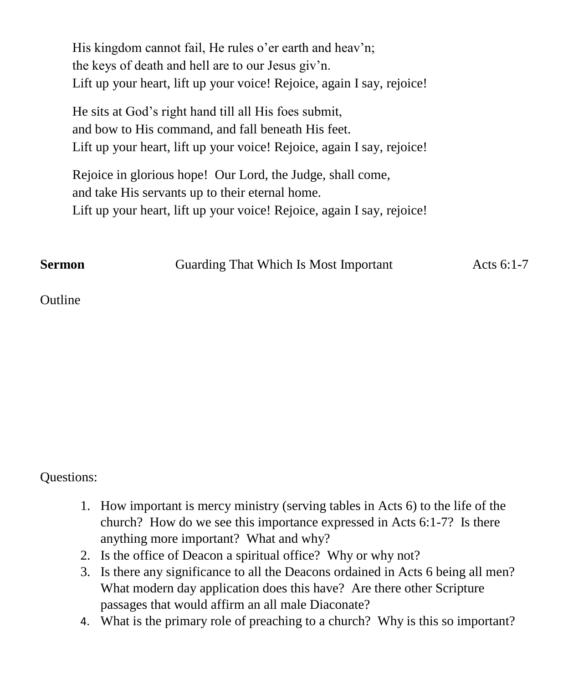His kingdom cannot fail, He rules o'er earth and heav'n; the keys of death and hell are to our Jesus giv'n. Lift up your heart, lift up your voice! Rejoice, again I say, rejoice!

He sits at God's right hand till all His foes submit, and bow to His command, and fall beneath His feet. Lift up your heart, lift up your voice! Rejoice, again I say, rejoice!

Rejoice in glorious hope! Our Lord, the Judge, shall come, and take His servants up to their eternal home. Lift up your heart, lift up your voice! Rejoice, again I say, rejoice!

**Sermon Guarding That Which Is Most Important** Acts 6:1-7

Outline

# Questions:

- 1. How important is mercy ministry (serving tables in Acts 6) to the life of the church? How do we see this importance expressed in Acts 6:1-7? Is there anything more important? What and why?
- 2. Is the office of Deacon a spiritual office? Why or why not?
- 3. Is there any significance to all the Deacons ordained in Acts 6 being all men? What modern day application does this have? Are there other Scripture passages that would affirm an all male Diaconate?
- 4. What is the primary role of preaching to a church? Why is this so important?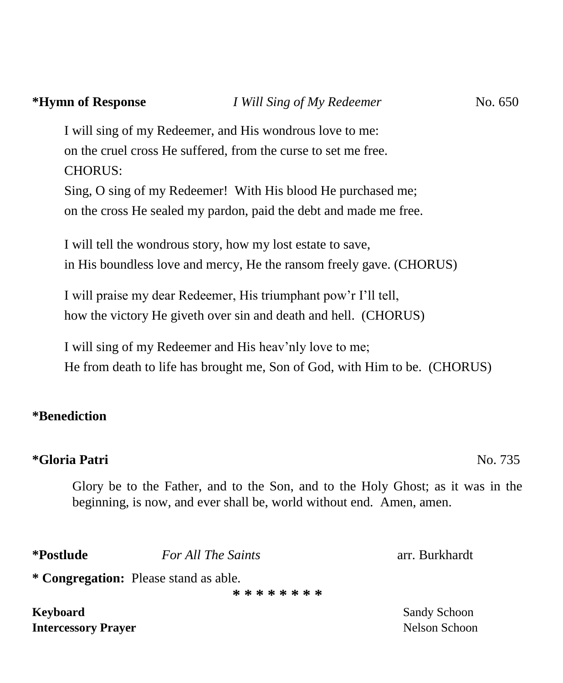# **\*Hymn of Response** *I Will Sing of My Redeemer* No. 650

I will sing of my Redeemer, and His wondrous love to me: on the cruel cross He suffered, from the curse to set me free. CHORUS:

Sing, O sing of my Redeemer! With His blood He purchased me; on the cross He sealed my pardon, paid the debt and made me free.

I will tell the wondrous story, how my lost estate to save, in His boundless love and mercy, He the ransom freely gave. (CHORUS)

I will praise my dear Redeemer, His triumphant pow'r I'll tell, how the victory He giveth over sin and death and hell. (CHORUS)

I will sing of my Redeemer and His heav'nly love to me; He from death to life has brought me, Son of God, with Him to be. (CHORUS)

#### **\*Benediction**

#### **\*Gloria Patri** No. 735

Glory be to the Father, and to the Son, and to the Holy Ghost; as it was in the beginning, is now, and ever shall be, world without end. Amen, amen.

**\*Postlude** *For All The Saints* arr. Burkhardt

**\* Congregation:** Please stand as able.

**\* \* \* \* \* \* \* \***

**Keyboard** Sandy Schoon Sandy Schoon Sandy Schoon Sandy Schoon Sandy Schoon Sandy Schoon Sandy Schoon Sandy Schoon Sandy Schoon Sandy Schoon Sandy Schoon Sandy Schoon Sandy Schoon Schoon Schoon Schoon Schoon Schoon Schoon **Intercessory Prayer** Nelson Schoon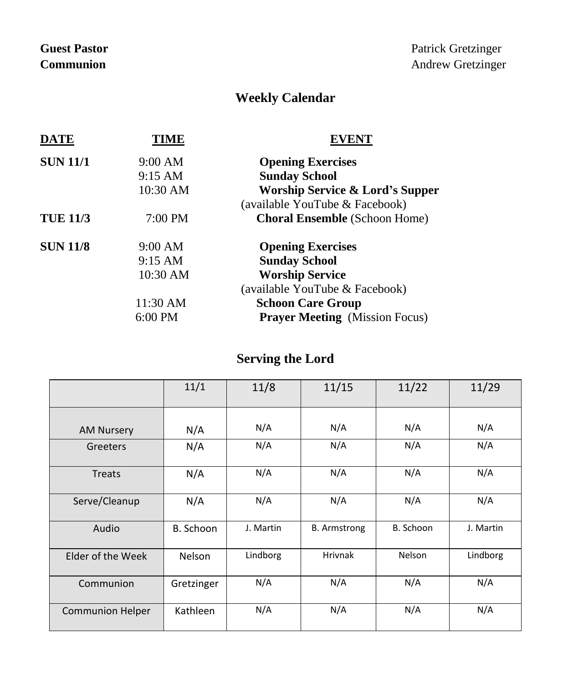# **Weekly Calendar**

| <b>DATE</b>     | TIME              |                                            |  |  |
|-----------------|-------------------|--------------------------------------------|--|--|
| <b>SUN 11/1</b> | 9:00 AM           | <b>Opening Exercises</b>                   |  |  |
|                 | $9:15 \text{ AM}$ | <b>Sunday School</b>                       |  |  |
|                 | 10:30 AM          | <b>Worship Service &amp; Lord's Supper</b> |  |  |
|                 |                   | (available YouTube & Facebook)             |  |  |
| <b>TUE 11/3</b> | $7:00 \text{ PM}$ | <b>Choral Ensemble</b> (Schoon Home)       |  |  |
| <b>SUN 11/8</b> | 9:00 AM           | <b>Opening Exercises</b>                   |  |  |
|                 | $9:15 \text{ AM}$ | <b>Sunday School</b>                       |  |  |
|                 | 10:30 AM          | <b>Worship Service</b>                     |  |  |
|                 |                   | (available YouTube & Facebook)             |  |  |
|                 | 11:30 AM          | <b>Schoon Care Group</b>                   |  |  |
|                 | $6:00$ PM         | <b>Prayer Meeting</b> (Mission Focus)      |  |  |

# **Serving the Lord**

|                         | 11/1       | 11/8      | 11/15               | 11/22     | 11/29     |
|-------------------------|------------|-----------|---------------------|-----------|-----------|
|                         |            |           |                     |           |           |
| <b>AM Nursery</b>       | N/A        | N/A       | N/A                 | N/A       | N/A       |
| Greeters                | N/A        | N/A       | N/A                 | N/A       | N/A       |
| <b>Treats</b>           | N/A        | N/A       | N/A                 | N/A       | N/A       |
| Serve/Cleanup           | N/A        | N/A       | N/A                 | N/A       | N/A       |
| Audio                   | B. Schoon  | J. Martin | <b>B.</b> Armstrong | B. Schoon | J. Martin |
| Elder of the Week       | Nelson     | Lindborg  | <b>Hrivnak</b>      | Nelson    | Lindborg  |
| Communion               | Gretzinger | N/A       | N/A                 | N/A       | N/A       |
| <b>Communion Helper</b> | Kathleen   | N/A       | N/A                 | N/A       | N/A       |